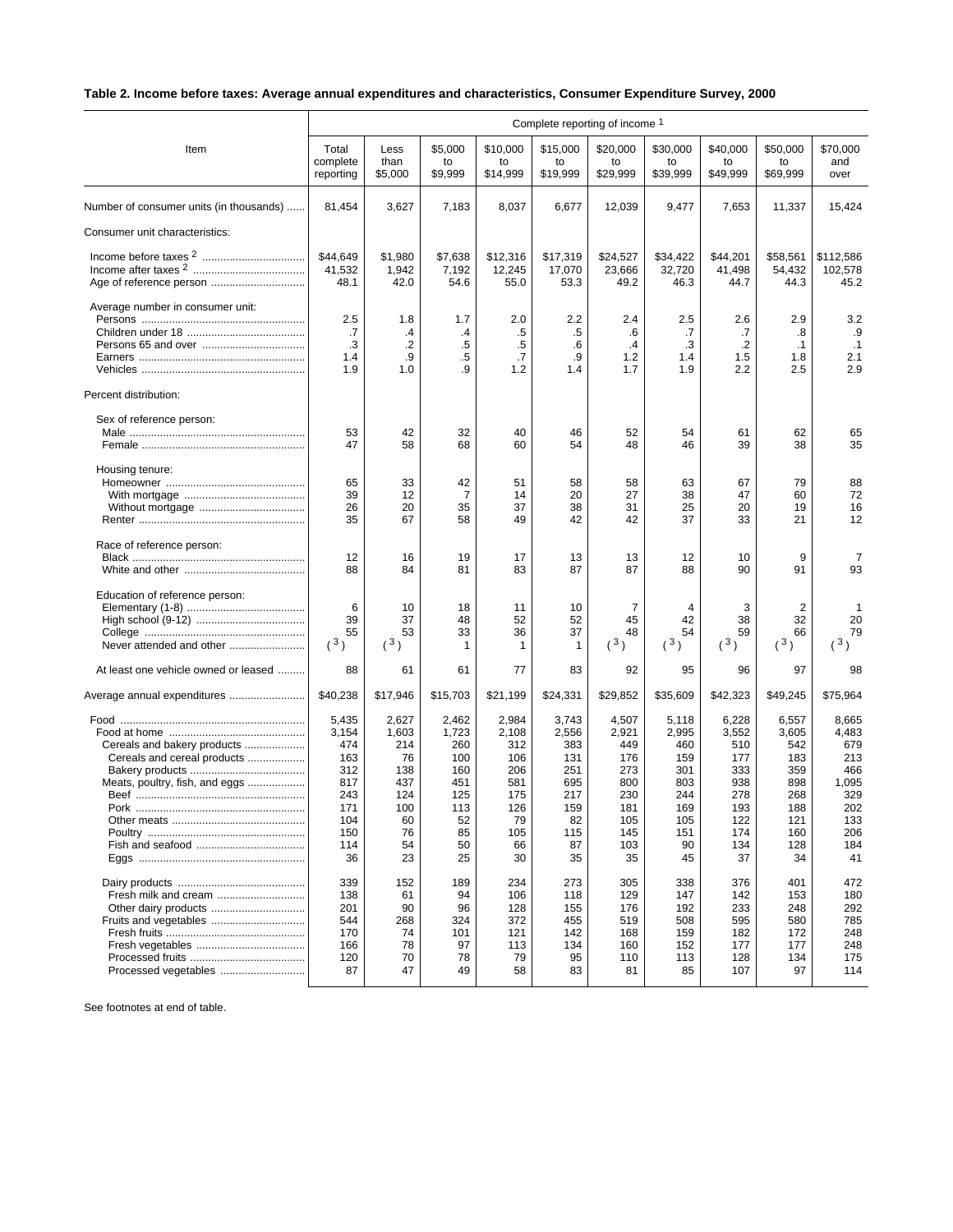## **Table 2. Income before taxes: Average annual expenditures and characteristics, Consumer Expenditure Survey, 2000**

|                                                                                                      | Complete reporting of income 1                                                      |                                                                                 |                                                                                  |                                                                                   |                                                                                   |                                                                                     |                                                                                    |                                                                                     |                                                                                     |                                                                                       |
|------------------------------------------------------------------------------------------------------|-------------------------------------------------------------------------------------|---------------------------------------------------------------------------------|----------------------------------------------------------------------------------|-----------------------------------------------------------------------------------|-----------------------------------------------------------------------------------|-------------------------------------------------------------------------------------|------------------------------------------------------------------------------------|-------------------------------------------------------------------------------------|-------------------------------------------------------------------------------------|---------------------------------------------------------------------------------------|
| Item                                                                                                 | Total<br>complete<br>reporting                                                      | Less<br>than<br>\$5,000                                                         | \$5,000<br>to<br>\$9,999                                                         | \$10,000<br>to<br>\$14,999                                                        | \$15,000<br>to<br>\$19,999                                                        | \$20,000<br>to<br>\$29,999                                                          | \$30,000<br>to<br>\$39,999                                                         | \$40,000<br>to<br>\$49,999                                                          | \$50,000<br>to<br>\$69,999                                                          | \$70,000<br>and<br>over                                                               |
| Number of consumer units (in thousands)                                                              | 81,454                                                                              | 3,627                                                                           | 7,183                                                                            | 8,037                                                                             | 6,677                                                                             | 12,039                                                                              | 9,477                                                                              | 7,653                                                                               | 11,337                                                                              | 15,424                                                                                |
| Consumer unit characteristics:                                                                       |                                                                                     |                                                                                 |                                                                                  |                                                                                   |                                                                                   |                                                                                     |                                                                                    |                                                                                     |                                                                                     |                                                                                       |
|                                                                                                      | \$44,649<br>41.532<br>48.1                                                          | \$1,980<br>1,942<br>42.0                                                        | \$7,638<br>7,192<br>54.6                                                         | \$12,316<br>12,245<br>55.0                                                        | \$17,319<br>17,070<br>53.3                                                        | \$24,527<br>23,666<br>49.2                                                          | \$34,422<br>32,720<br>46.3                                                         | \$44,201<br>41,498<br>44.7                                                          | \$58,561<br>54,432<br>44.3                                                          | \$112,586<br>102.578<br>45.2                                                          |
| Average number in consumer unit:<br>Percent distribution:                                            | 2.5<br>.7<br>.3<br>1.4<br>1.9                                                       | 1.8<br>$\cdot$<br>$\cdot$<br>.9<br>1.0                                          | 1.7<br>.4<br>.5<br>.5<br>.9                                                      | 2.0<br>.5<br>.5<br>.7<br>1.2                                                      | 2.2<br>.5<br>.6<br>.9<br>1.4                                                      | 2.4<br>.6<br>.4<br>$1.2$<br>1.7                                                     | 2.5<br>.7<br>.3<br>1.4<br>1.9                                                      | 2.6<br>.7<br>$\cdot$<br>1.5<br>2.2                                                  | 2.9<br>.8<br>$\cdot$ 1<br>1.8<br>2.5                                                | 3.2<br>.9<br>$\cdot$ 1<br>2.1<br>2.9                                                  |
| Sex of reference person:                                                                             | 53<br>47                                                                            | 42<br>58                                                                        | 32<br>68                                                                         | 40<br>60                                                                          | 46<br>54                                                                          | 52<br>48                                                                            | 54<br>46                                                                           | 61<br>39                                                                            | 62<br>38                                                                            | 65<br>35                                                                              |
| Housing tenure:                                                                                      | 65<br>39<br>26<br>35                                                                | 33<br>12<br>20<br>67                                                            | 42<br>7<br>35<br>58                                                              | 51<br>14<br>37<br>49                                                              | 58<br>20<br>38<br>42                                                              | 58<br>27<br>31<br>42                                                                | 63<br>38<br>25<br>37                                                               | 67<br>47<br>20<br>33                                                                | 79<br>60<br>19<br>21                                                                | 88<br>72<br>16<br>12                                                                  |
| Race of reference person:                                                                            | 12<br>88                                                                            | 16<br>84                                                                        | 19<br>81                                                                         | 17<br>83                                                                          | 13<br>87                                                                          | 13<br>87                                                                            | 12<br>88                                                                           | 10<br>90                                                                            | 9<br>91                                                                             | 7<br>93                                                                               |
| Education of reference person:<br>Never attended and other                                           | 6<br>39<br>55<br>(3)                                                                | 10<br>37<br>53<br>(3)                                                           | 18<br>48<br>33<br>1                                                              | 11<br>52<br>36<br>1                                                               | 10<br>52<br>37<br>$\mathbf 1$                                                     | 7<br>45<br>48<br>(3)                                                                | 4<br>42<br>54<br>(3)                                                               | 3<br>38<br>59<br>(3)                                                                | 2<br>32<br>66<br>(3)                                                                | 20<br>79<br>(3)                                                                       |
| At least one vehicle owned or leased                                                                 | 88                                                                                  | 61                                                                              | 61                                                                               | 77                                                                                | 83                                                                                | 92                                                                                  | 95                                                                                 | 96                                                                                  | 97                                                                                  | 98                                                                                    |
| Average annual expenditures                                                                          | \$40,238                                                                            | \$17,946                                                                        | \$15,703                                                                         | \$21,199                                                                          | \$24,331                                                                          | \$29,852                                                                            | \$35,609                                                                           | \$42,323                                                                            | \$49,245                                                                            | \$75,964                                                                              |
| Cereals and bakery products<br>Cereals and cereal products<br>Meats, poultry, fish, and eggs<br>Pork | 5,435<br>3,154<br>474<br>163<br>312<br>817<br>243<br>171<br>104<br>150<br>114<br>36 | 2,627<br>1,603<br>214<br>76<br>138<br>437<br>124<br>100<br>60<br>76<br>54<br>23 | 2,462<br>1,723<br>260<br>100<br>160<br>451<br>125<br>113<br>52<br>85<br>50<br>25 | 2,984<br>2,108<br>312<br>106<br>206<br>581<br>175<br>126<br>79<br>105<br>66<br>30 | 3,743<br>2,556<br>383<br>131<br>251<br>695<br>217<br>159<br>82<br>115<br>87<br>35 | 4,507<br>2,921<br>449<br>176<br>273<br>800<br>230<br>181<br>105<br>145<br>103<br>35 | 5,118<br>2,995<br>460<br>159<br>301<br>803<br>244<br>169<br>105<br>151<br>90<br>45 | 6,228<br>3,552<br>510<br>177<br>333<br>938<br>278<br>193<br>122<br>174<br>134<br>37 | 6,557<br>3,605<br>542<br>183<br>359<br>898<br>268<br>188<br>121<br>160<br>128<br>34 | 8,665<br>4,483<br>679<br>213<br>466<br>1,095<br>329<br>202<br>133<br>206<br>184<br>41 |
| Fresh milk and cream<br>Other dairy products<br>Processed vegetables                                 | 339<br>138<br>201<br>544<br>170<br>166<br>120<br>87                                 | 152<br>61<br>90<br>268<br>74<br>78<br>70<br>47                                  | 189<br>94<br>96<br>324<br>101<br>97<br>78<br>49                                  | 234<br>106<br>128<br>372<br>121<br>113<br>79<br>58                                | 273<br>118<br>155<br>455<br>142<br>134<br>95<br>83                                | 305<br>129<br>176<br>519<br>168<br>160<br>110<br>81                                 | 338<br>147<br>192<br>508<br>159<br>152<br>113<br>85                                | 376<br>142<br>233<br>595<br>182<br>177<br>128<br>107                                | 401<br>153<br>248<br>580<br>172<br>177<br>134<br>97                                 | 472<br>180<br>292<br>785<br>248<br>248<br>175<br>114                                  |

See footnotes at end of table.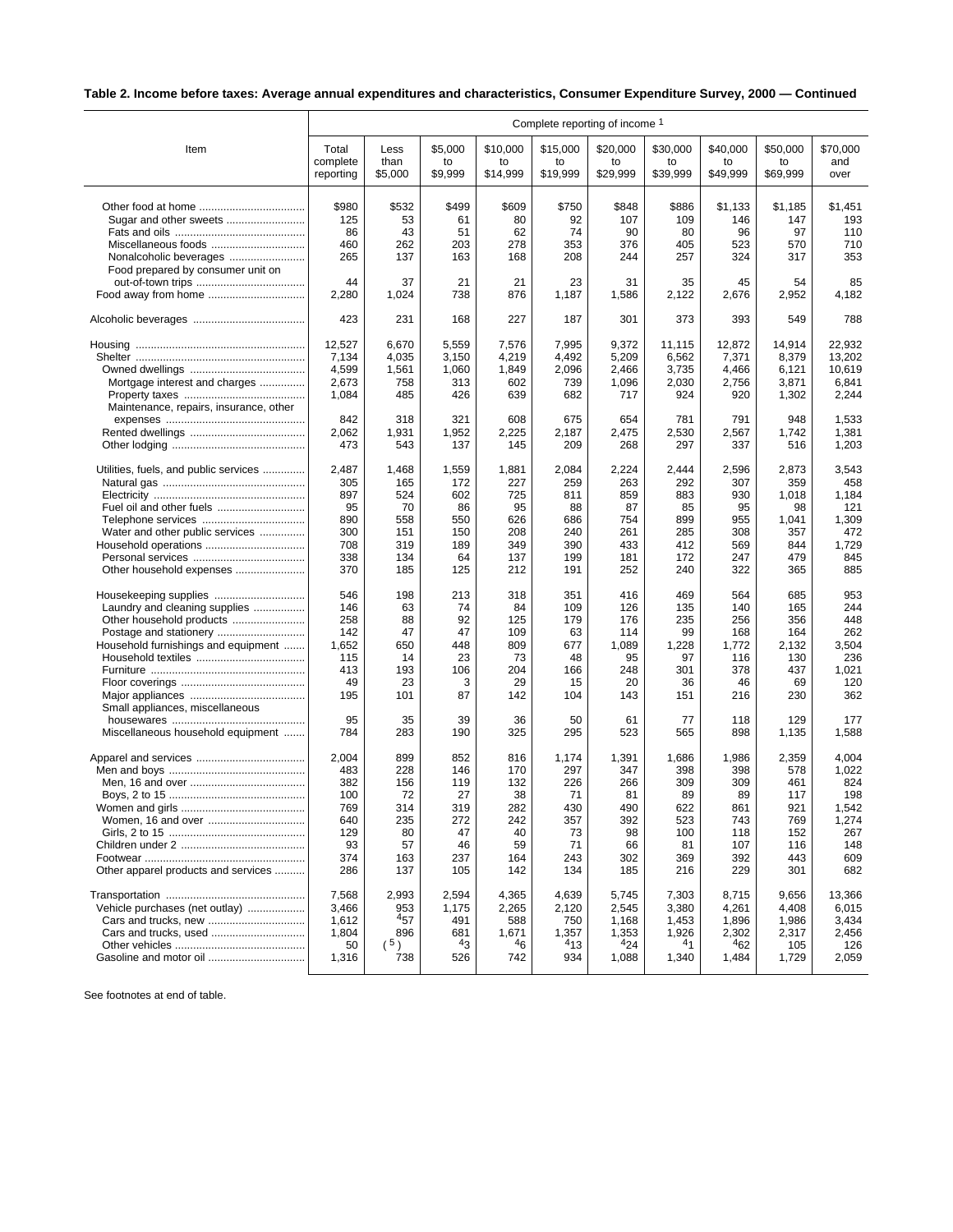## **Table 2. Income before taxes: Average annual expenditures and characteristics, Consumer Expenditure Survey, 2000 — Continued**

|                                                        | Complete reporting of income 1 |            |              |              |              |                |                |                |                |                |
|--------------------------------------------------------|--------------------------------|------------|--------------|--------------|--------------|----------------|----------------|----------------|----------------|----------------|
| Item                                                   | Total                          | Less       | \$5,000      | \$10,000     | \$15,000     | \$20,000       | \$30,000       | \$40,000       | \$50,000       | \$70,000       |
|                                                        | complete                       | than       | to           | to           | to           | to             | to             | to             | to             | and            |
|                                                        | reporting                      | \$5,000    | \$9,999      | \$14,999     | \$19,999     | \$29,999       | \$39,999       | \$49,999       | \$69,999       | over           |
|                                                        |                                |            |              |              |              |                |                |                |                |                |
| Other food at home                                     | \$980                          | \$532      | \$499        | \$609        | \$750        | \$848          | \$886          | \$1,133        | \$1,185        | \$1,451        |
| Sugar and other sweets                                 | 125<br>86                      | 53<br>43   | 61<br>51     | 80<br>62     | 92<br>74     | 107<br>90      | 109<br>80      | 146<br>96      | 147<br>97      | 193<br>110     |
|                                                        | 460                            | 262        | 203          | 278          | 353          | 376            | 405            | 523            | 570            | 710            |
| Nonalcoholic beverages                                 | 265                            | 137        | 163          | 168          | 208          | 244            | 257            | 324            | 317            | 353            |
| Food prepared by consumer unit on                      |                                |            |              |              |              |                |                |                |                |                |
|                                                        | 44                             | 37         | 21           | 21           | 23           | 31             | 35             | 45             | 54             | 85             |
| Food away from home                                    | 2,280                          | 1,024      | 738          | 876          | 1,187        | 1,586          | 2,122          | 2,676          | 2,952          | 4,182          |
|                                                        | 423                            | 231        | 168          | 227          | 187          | 301            | 373            | 393            | 549            | 788            |
|                                                        | 12,527                         | 6,670      | 5,559        | 7,576        | 7,995        | 9,372          | 11,115         | 12,872         | 14,914         | 22,932         |
|                                                        | 7,134                          | 4,035      | 3,150        | 4,219        | 4,492        | 5,209          | 6,562          | 7,371          | 8,379          | 13,202         |
|                                                        | 4,599                          | 1,561      | 1,060        | 1,849        | 2,096        | 2,466          | 3,735          | 4,466          | 6,121          | 10,619         |
| Mortgage interest and charges                          | 2,673                          | 758        | 313          | 602          | 739          | 1,096          | 2,030          | 2,756          | 3,871          | 6,841          |
|                                                        | 1,084                          | 485        | 426          | 639          | 682          | 717            | 924            | 920            | 1,302          | 2,244          |
| Maintenance, repairs, insurance, other                 |                                |            |              |              |              |                |                |                |                |                |
|                                                        | 842                            | 318        | 321          | 608          | 675          | 654            | 781            | 791            | 948            | 1,533          |
|                                                        | 2,062                          | 1,931      | 1,952        | 2,225        | 2,187        | 2,475          | 2,530          | 2,567          | 1,742          | 1,381          |
|                                                        | 473                            | 543        | 137          | 145          | 209          | 268            | 297            | 337            | 516            | 1,203          |
| Utilities, fuels, and public services                  | 2,487                          | 1,468      | 1,559        | 1,881        | 2,084        | 2,224          | 2,444          | 2,596          | 2,873          | 3,543          |
|                                                        | 305                            | 165        | 172          | 227          | 259          | 263            | 292            | 307            | 359            | 458            |
|                                                        | 897                            | 524        | 602          | 725          | 811          | 859            | 883            | 930            | 1,018          | 1,184          |
|                                                        | 95                             | 70         | 86           | 95           | 88           | 87             | 85             | 95             | 98             | 121            |
|                                                        | 890                            | 558        | 550          | 626          | 686          | 754            | 899            | 955            | 1,041          | 1,309          |
| Water and other public services                        | 300                            | 151        | 150          | 208          | 240          | 261            | 285            | 308            | 357            | 472            |
|                                                        | 708                            | 319        | 189          | 349          | 390          | 433            | 412            | 569            | 844            | 1,729          |
| Other household expenses                               | 338<br>370                     | 134<br>185 | 64<br>125    | 137<br>212   | 199<br>191   | 181<br>252     | 172<br>240     | 247<br>322     | 479<br>365     | 845<br>885     |
| Housekeeping supplies                                  | 546                            | 198        | 213          | 318          | 351          | 416            | 469            | 564            | 685            | 953            |
| Laundry and cleaning supplies                          | 146                            | 63         | 74           | 84           | 109          | 126            | 135            | 140            | 165            | 244            |
| Other household products                               | 258                            | 88         | 92           | 125          | 179          | 176            | 235            | 256            | 356            | 448            |
| Postage and stationery                                 | 142                            | 47         | 47           | 109          | 63           | 114            | 99             | 168            | 164            | 262            |
| Household furnishings and equipment                    | 1,652                          | 650        | 448          | 809          | 677          | 1,089          | 1,228          | 1,772          | 2,132          | 3,504          |
|                                                        | 115                            | 14         | 23           | 73           | 48           | 95             | 97             | 116            | 130            | 236            |
|                                                        | 413                            | 193        | 106          | 204          | 166          | 248            | 301            | 378            | 437            | 1,021          |
|                                                        | 49                             | 23         | 3            | 29           | 15           | 20             | 36             | 46             | 69             | 120            |
|                                                        | 195                            | 101        | 87           | 142          | 104          | 143            | 151            | 216            | 230            | 362            |
| Small appliances, miscellaneous                        | 95                             | 35         | 39           | 36           | 50           | 61             | 77             | 118            | 129            | 177            |
| Miscellaneous household equipment                      | 784                            | 283        | 190          | 325          | 295          | 523            | 565            | 898            | 1,135          | 1,588          |
|                                                        | 2,004                          | 899        | 852          | 816          | 1,174        | 1,391          | 1,686          | 1,986          | 2,359          | 4,004          |
|                                                        | 483                            | 228        | 146          | 170          | 297          | 347            | 398            | 398            | 578            | 1,022          |
|                                                        | 382                            | 156        | 119          | 132          | 226          | 266            | 309            | 309            | 461            | 824            |
|                                                        | 100                            | 72         | 27           | 38           | 71           | 81             | 89             | 89             | 117            | 198            |
|                                                        | 769                            | 314        | 319          | 282          | 430          | 490            | 622            | 861            | 921            | 1,542          |
| Women, 16 and over                                     | 640                            | 235        | 272          | 242          | 357          | 392            | 523            | 743            | 769            | 1,274          |
|                                                        | 129                            | 80         | 47           | 40           | 73           | 98             | 100            | 118            | 152            | 267            |
|                                                        | 93                             | 57         | 46           | 59           | 71           | 66             | 81             | 107            | 116            | 148            |
| Other apparel products and services                    | 374<br>286                     | 163<br>137 | 237<br>105   | 164<br>142   | 243<br>134   | 302<br>185     | 369<br>216     | 392<br>229     | 443<br>301     | 609<br>682     |
|                                                        |                                |            |              |              |              |                |                |                |                |                |
|                                                        | 7,568                          | 2,993      | 2,594        | 4,365        | 4,639        | 5,745          | 7,303          | 8,715          | 9,656          | 13,366         |
| Vehicle purchases (net outlay)<br>Cars and trucks, new | 3,466<br>1,612                 | 953<br>457 | 1,175<br>491 | 2,265<br>588 | 2,120<br>750 | 2,545<br>1,168 | 3,380<br>1,453 | 4,261<br>1,896 | 4,408<br>1,986 | 6,015<br>3,434 |
| Cars and trucks, used                                  | 1,804                          | 896        | 681          | 1,671        | 1,357        | 1,353          | 1,926          | 2,302          | 2,317          | 2,456          |
|                                                        | 50                             | (5)        | 43           | $^{4}6$      | 413          | 424            | 41             | 462            | 105            | 126            |
| Gasoline and motor oil                                 | 1,316                          | 738        | 526          | 742          | 934          | 1,088          | 1,340          | 1,484          | 1,729          | 2,059          |
|                                                        |                                |            |              |              |              |                |                |                |                |                |

See footnotes at end of table.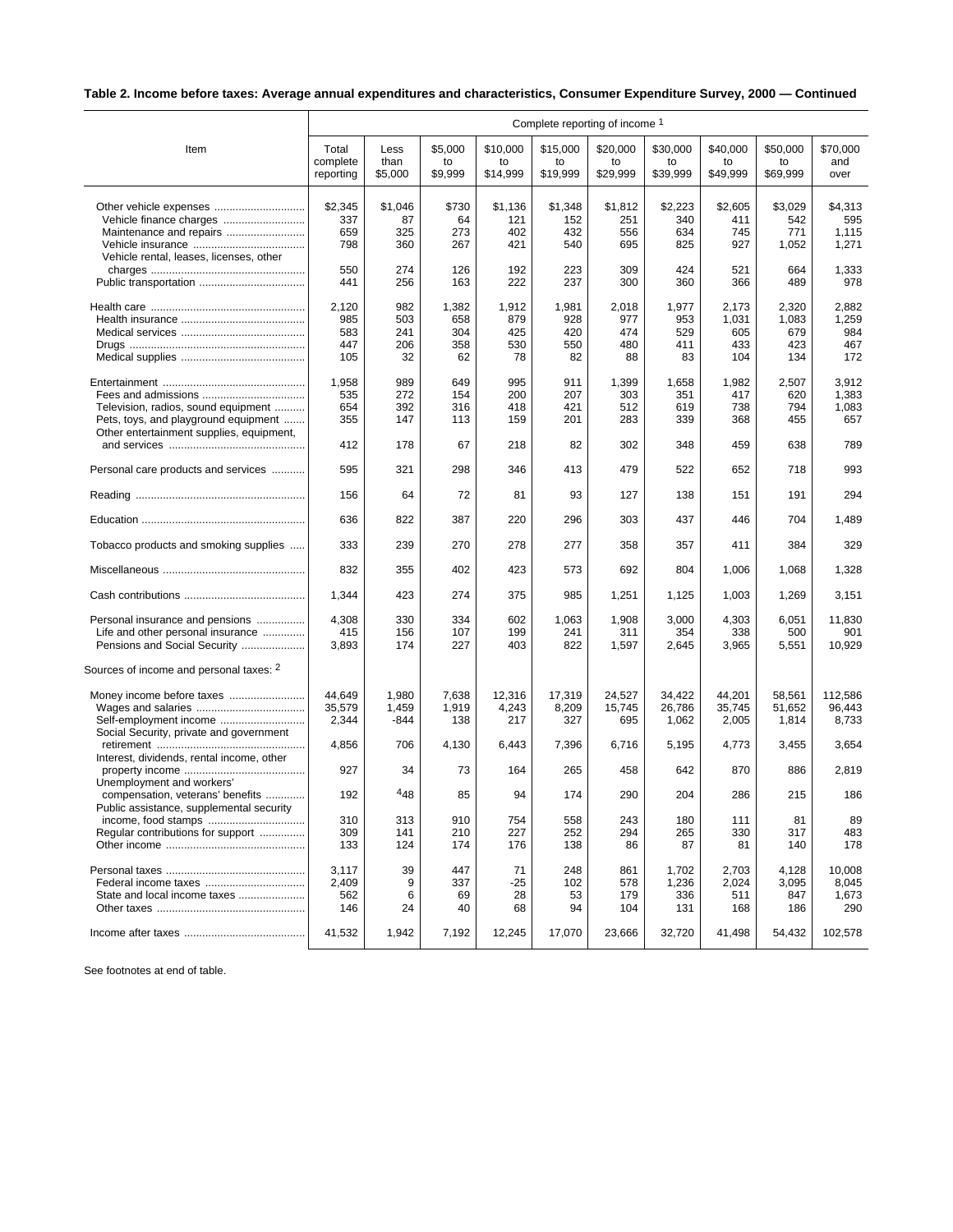## **Table 2. Income before taxes: Average annual expenditures and characteristics, Consumer Expenditure Survey, 2000 — Continued**

|                                                                                  | Complete reporting of income 1 |               |             |                |                |                |                |                |                |                |
|----------------------------------------------------------------------------------|--------------------------------|---------------|-------------|----------------|----------------|----------------|----------------|----------------|----------------|----------------|
| Item                                                                             | Total                          | Less          | \$5,000     | \$10,000       | \$15,000       | \$20,000       | \$30,000       | \$40,000       | \$50,000       | \$70,000       |
|                                                                                  | complete                       | than          | to          | to             | to             | to             | to             | to             | to             | and            |
|                                                                                  | reporting                      | \$5,000       | \$9,999     | \$14,999       | \$19,999       | \$29,999       | \$39,999       | \$49,999       | \$69,999       | over           |
|                                                                                  |                                |               |             |                |                |                |                |                |                |                |
|                                                                                  | \$2,345<br>337                 | \$1,046<br>87 | \$730<br>64 | \$1,136<br>121 | \$1,348<br>152 | \$1,812<br>251 | \$2,223<br>340 | \$2,605<br>411 | \$3,029<br>542 | \$4,313<br>595 |
|                                                                                  | 659                            | 325           | 273         | 402            | 432            | 556            | 634            | 745            | 771            | 1,115          |
| Maintenance and repairs                                                          | 798                            | 360           | 267         | 421            | 540            | 695            | 825            | 927            | 1,052          | 1,271          |
| Vehicle rental, leases, licenses, other                                          |                                |               |             |                |                |                |                |                |                |                |
|                                                                                  | 550                            | 274           | 126         | 192            | 223            | 309            | 424            | 521            | 664            | 1,333          |
|                                                                                  | 441                            | 256           | 163         | 222            | 237            | 300            | 360            | 366            | 489            | 978            |
|                                                                                  | 2,120                          | 982           | 1,382       | 1,912          | 1,981          | 2,018          | 1,977          | 2,173          | 2,320          | 2,882          |
|                                                                                  | 985                            | 503           | 658         | 879            | 928            | 977            | 953            | 1,031          | 1,083          | 1,259          |
|                                                                                  | 583                            | 241           | 304         | 425            | 420            | 474            | 529            | 605            | 679            | 984            |
|                                                                                  | 447                            | 206           | 358         | 530            | 550            | 480            | 411            | 433            | 423            | 467            |
|                                                                                  | 105                            | 32            | 62          | 78             | 82             | 88             | 83             | 104            | 134            | 172            |
|                                                                                  |                                |               |             |                |                |                |                |                |                |                |
|                                                                                  | 1,958                          | 989           | 649         | 995            | 911            | 1,399          | 1,658          | 1,982          | 2,507          | 3,912<br>1,383 |
|                                                                                  | 535                            | 272           | 154<br>316  | 200            | 207            | 303            | 351            | 417            | 620            |                |
| Television, radios, sound equipment                                              | 654<br>355                     | 392<br>147    |             | 418<br>159     | 421<br>201     | 512<br>283     | 619<br>339     | 738<br>368     | 794            | 1,083<br>657   |
| Pets, toys, and playground equipment<br>Other entertainment supplies, equipment, |                                |               | 113         |                |                |                |                |                | 455            |                |
|                                                                                  | 412                            | 178           | 67          | 218            | 82             | 302            | 348            | 459            | 638            | 789            |
| Personal care products and services                                              | 595                            | 321           | 298         | 346            | 413            | 479            | 522            | 652            | 718            | 993            |
|                                                                                  | 156                            | 64            | 72          | 81             | 93             | 127            | 138            | 151            | 191            | 294            |
|                                                                                  | 636                            | 822           | 387         | 220            | 296            | 303            | 437            | 446            | 704            | 1,489          |
| Tobacco products and smoking supplies                                            | 333                            | 239           | 270         | 278            | 277            | 358            | 357            | 411            | 384            | 329            |
|                                                                                  | 832                            | 355           | 402         | 423            | 573            | 692            | 804            | 1,006          | 1,068          | 1,328          |
|                                                                                  | 1,344                          | 423           | 274         | 375            | 985            | 1,251          | 1,125          | 1,003          | 1,269          | 3,151          |
| Personal insurance and pensions                                                  | 4,308                          | 330           | 334         | 602            | 1,063          | 1,908          | 3,000          | 4,303          | 6,051          | 11,830         |
| Life and other personal insurance                                                | 415                            | 156           | 107         | 199            | 241            | 311            | 354            | 338            | 500            | 901            |
| Pensions and Social Security                                                     | 3,893                          | 174           | 227         | 403            | 822            | 1,597          | 2,645          | 3,965          | 5,551          | 10,929         |
| Sources of income and personal taxes: 2                                          |                                |               |             |                |                |                |                |                |                |                |
|                                                                                  |                                |               |             |                |                |                |                |                |                |                |
|                                                                                  | 44,649                         | 1,980         | 7,638       | 12,316         | 17,319         | 24,527         | 34,422         | 44,201         | 58,561         | 112,586        |
|                                                                                  | 35,579                         | 1,459         | 1,919       | 4,243          | 8,209          | 15,745         | 26,786         | 35,745         | 51,652         | 96,443         |
| Self-employment income                                                           | 2,344                          | -844          | 138         | 217            | 327            | 695            | 1,062          | 2,005          | 1,814          | 8,733          |
| Social Security, private and government                                          |                                |               |             |                |                |                |                |                |                |                |
|                                                                                  | 4,856                          | 706           | 4,130       | 6,443          | 7,396          | 6,716          | 5,195          | 4,773          | 3,455          | 3,654          |
| Interest, dividends, rental income, other                                        | 927                            | 34            | 73          | 164            | 265            | 458            | 642            | 870            | 886            | 2,819          |
| Unemployment and workers'<br>compensation, veterans' benefits                    | 192                            | $^{4}48$      | 85          | 94             | 174            | 290            | 204            | 286            | 215            | 186            |
| Public assistance, supplemental security                                         |                                |               |             |                |                |                |                |                |                |                |
|                                                                                  | 310                            | 313           | 910         | 754            | 558            | 243            | 180            | 111            | 81             | 89             |
| Regular contributions for support                                                | 309                            | 141           | 210         | 227            | 252            | 294            | 265            | 330            | 317            | 483            |
|                                                                                  | 133                            | 124           | 174         | 176            | 138            | 86             | 87             | 81             | 140            | 178            |
|                                                                                  | 3,117                          | 39            | 447         | 71             | 248            | 861            | 1,702          | 2,703          | 4,128          | 10,008         |
|                                                                                  | 2,409                          | 9             | 337         | $-25$          | 102            | 578            | 1,236          | 2,024          | 3,095          | 8,045          |
| State and local income taxes                                                     | 562                            | 6             | 69          | 28             | 53             | 179            | 336            | 511            | 847            | 1,673          |
|                                                                                  | 146                            | 24            | 40          | 68             | 94             | 104            | 131            | 168            | 186            | 290            |
|                                                                                  |                                |               |             |                |                |                |                |                |                |                |
|                                                                                  | 41,532                         | 1,942         | 7,192       | 12,245         | 17,070         | 23,666         | 32,720         | 41,498         | 54,432         | 102,578        |

See footnotes at end of table.